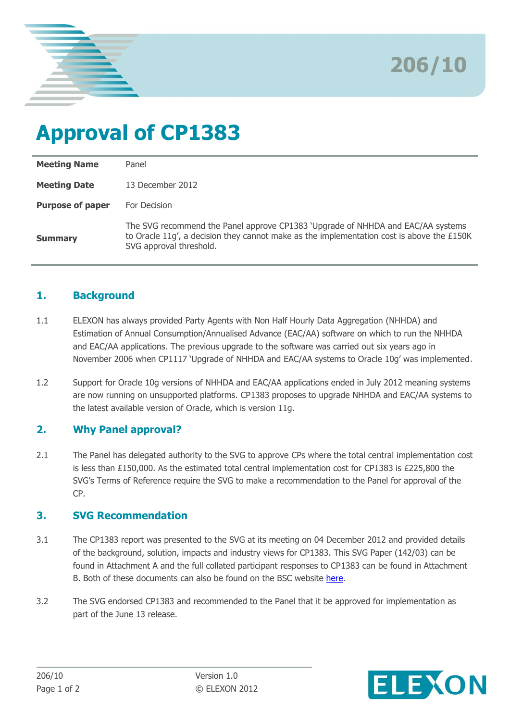

**206/10**

# **Approval of CP1383**

| <b>Meeting Name</b>     | Panel                                                                                                                                                                                                   |
|-------------------------|---------------------------------------------------------------------------------------------------------------------------------------------------------------------------------------------------------|
| <b>Meeting Date</b>     | 13 December 2012                                                                                                                                                                                        |
| <b>Purpose of paper</b> | For Decision                                                                                                                                                                                            |
| <b>Summary</b>          | The SVG recommend the Panel approve CP1383 'Upgrade of NHHDA and EAC/AA systems<br>to Oracle 11q', a decision they cannot make as the implementation cost is above the £150K<br>SVG approval threshold. |

## **1. Background**

- 1.1 ELEXON has always provided Party Agents with Non Half Hourly Data Aggregation (NHHDA) and Estimation of Annual Consumption/Annualised Advance (EAC/AA) software on which to run the NHHDA and EAC/AA applications. The previous upgrade to the software was carried out six years ago in November 2006 when CP1117 'Upgrade of NHHDA and EAC/AA systems to Oracle 10g' was implemented.
- 1.2 Support for Oracle 10g versions of NHHDA and EAC/AA applications ended in July 2012 meaning systems are now running on unsupported platforms. CP1383 proposes to upgrade NHHDA and EAC/AA systems to the latest available version of Oracle, which is version 11g.

# **2. Why Panel approval?**

2.1 The Panel has delegated authority to the SVG to approve CPs where the total central implementation cost is less than £150,000. As the estimated total central implementation cost for CP1383 is £225,800 the SVG's Terms of Reference require the SVG to make a recommendation to the Panel for approval of the CP.

## **3. SVG Recommendation**

- 3.1 The CP1383 report was presented to the SVG at its meeting on 04 December 2012 and provided details of the background, solution, impacts and industry views for CP1383. This SVG Paper (142/03) can be found in Attachment A and the full collated participant responses to CP1383 can be found in Attachment B. Both of these documents can also be found on the BSC website [here.](http://www.elexon.co.uk/change-proposal/cp1383/)
- 3.2 The SVG endorsed CP1383 and recommended to the Panel that it be approved for implementation as part of the June 13 release.